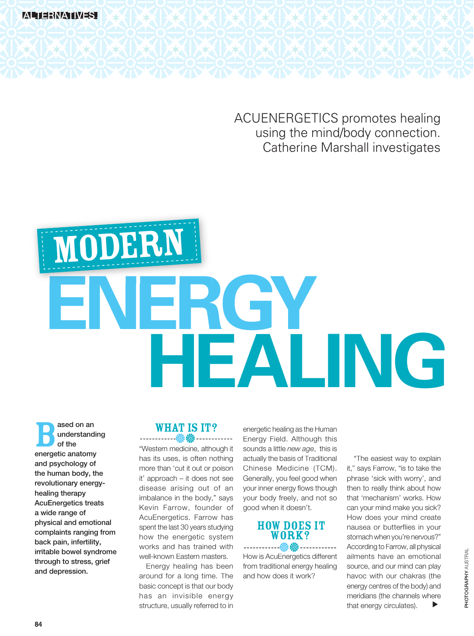ALTERNATIVES

> ACUENERGETICS promotes healing using the mind/body connection. Catherine Marshall investigates

**B**<br> **ased on an understanding**<br>
of the<br>
energetic anatomy understanding of the and psychology of the human body, the revolutionary energyhealing therapy AcuEnergetics treats a wide range of physical and emotional complaints ranging from back pain, infertility, irritable bowel syndrome through to stress, grief and depression.

## What is it?

**ENERGY**

**ODERN** 

"Western medicine, although it has its uses, is often nothing more than 'cut it out or poison it' approach – it does not see disease arising out of an imbalance in the body," says Kevin Farrow, founder of AcuEnergetics. Farrow has spent the last 30 years studying how the energetic system works and has trained with well-known Eastern masters.

Energy healing has been around for a long time. The basic concept is that our body has an invisible energy structure, usually referred to in

energetic healing as the Human Energy Field. Although this sounds a little *new age*, this is actually the basis of Traditional Chinese Medicine (TCM). Generally, you feel good when your inner energy flows though your body freely, and not so good when it doesn't.

**HEALING**

### How does it work?

How is AcuEnergetics different from traditional energy healing and how does it work?

"The easiest way to explain it," says Farrow, "is to take the phrase 'sick with worry', and then to really think about how that 'mechanism' works. How can your mind make you sick? How does your mind create nausea or butterflies in your stomach when you're nervous?" According to Farrow, all physical ailments have an emotional source, and our mind can play havoc with our chakras (the energy centres of the body) and meridians (the channels where that energy circulates). ▼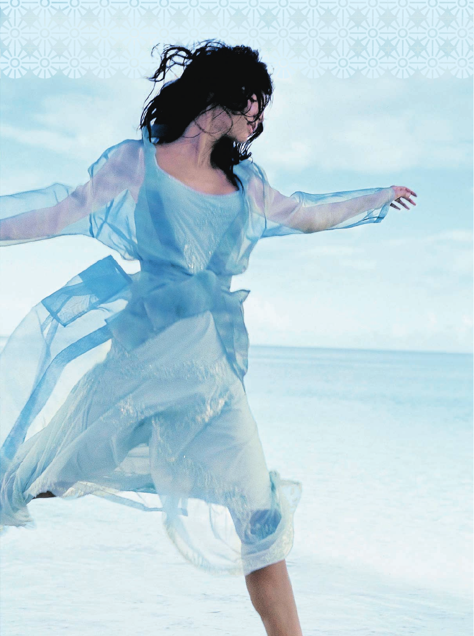